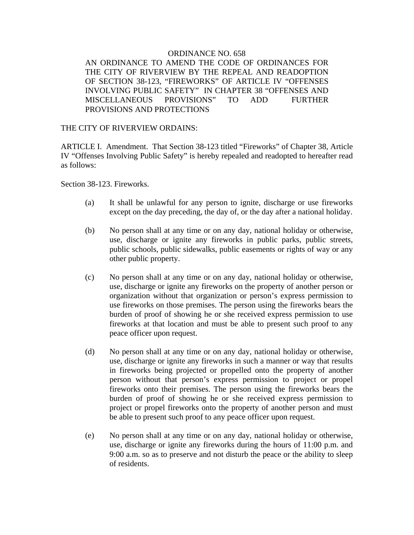## ORDINANCE NO. 658 AN ORDINANCE TO AMEND THE CODE OF ORDINANCES FOR THE CITY OF RIVERVIEW BY THE REPEAL AND READOPTION OF SECTION 38-123, "FIREWORKS" OF ARTICLE IV "OFFENSES INVOLVING PUBLIC SAFETY" IN CHAPTER 38 "OFFENSES AND MISCELLANEOUS PROVISIONS" TO ADD FURTHER PROVISIONS AND PROTECTIONS

## THE CITY OF RIVERVIEW ORDAINS:

ARTICLE I. Amendment. That Section 38-123 titled "Fireworks" of Chapter 38, Article IV "Offenses Involving Public Safety" is hereby repealed and readopted to hereafter read as follows:

Section 38-123. Fireworks.

- (a) It shall be unlawful for any person to ignite, discharge or use fireworks except on the day preceding, the day of, or the day after a national holiday.
- (b) No person shall at any time or on any day, national holiday or otherwise, use, discharge or ignite any fireworks in public parks, public streets, public schools, public sidewalks, public easements or rights of way or any other public property.
- (c) No person shall at any time or on any day, national holiday or otherwise, use, discharge or ignite any fireworks on the property of another person or organization without that organization or person's express permission to use fireworks on those premises. The person using the fireworks bears the burden of proof of showing he or she received express permission to use fireworks at that location and must be able to present such proof to any peace officer upon request.
- (d) No person shall at any time or on any day, national holiday or otherwise, use, discharge or ignite any fireworks in such a manner or way that results in fireworks being projected or propelled onto the property of another person without that person's express permission to project or propel fireworks onto their premises. The person using the fireworks bears the burden of proof of showing he or she received express permission to project or propel fireworks onto the property of another person and must be able to present such proof to any peace officer upon request.
- (e) No person shall at any time or on any day, national holiday or otherwise, use, discharge or ignite any fireworks during the hours of 11:00 p.m. and 9:00 a.m. so as to preserve and not disturb the peace or the ability to sleep of residents.